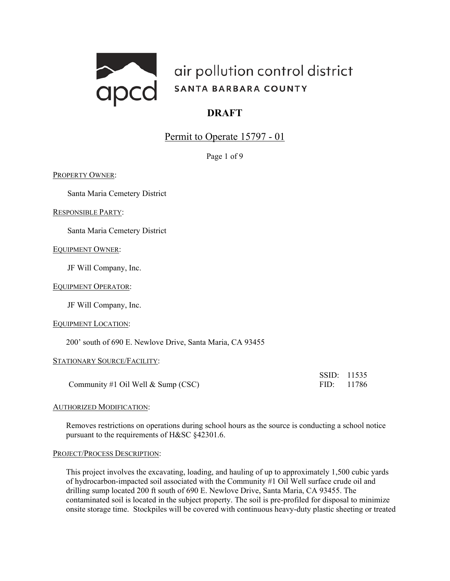

# Permit to Operate 15797 - 01

Page 1 of 9

PROPERTY OWNER:

Santa Maria Cemetery District

RESPONSIBLE PARTY:

Santa Maria Cemetery District

# EQUIPMENT OWNER:

JF Will Company, Inc.

# EQUIPMENT OPERATOR:

JF Will Company, Inc.

#### EQUIPMENT LOCATION:

200' south of 690 E. Newlove Drive, Santa Maria, CA 93455

# STATIONARY SOURCE/FACILITY:

Community #1 Oil Well & Sump (CSC) FID: 11786

SSID: 11535

#### AUTHORIZED MODIFICATION:

Removes restrictions on operations during school hours as the source is conducting a school notice pursuant to the requirements of H&SC §42301.6.

#### PROJECT/PROCESS DESCRIPTION:

This project involves the excavating, loading, and hauling of up to approximately 1,500 cubic yards of hydrocarbon-impacted soil associated with the Community #1 Oil Well surface crude oil and drilling sump located 200 ft south of 690 E. Newlove Drive, Santa Maria, CA 93455. The contaminated soil is located in the subject property. The soil is pre-profiled for disposal to minimize onsite storage time. Stockpiles will be covered with continuous heavy-duty plastic sheeting or treated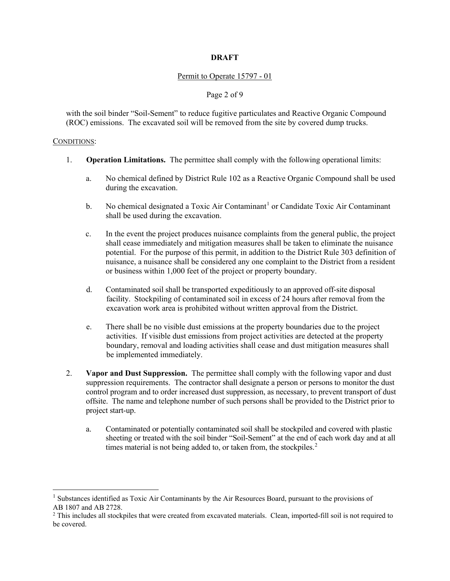## Permit to Operate 15797 - 01

# Page 2 of 9

with the soil binder "Soil-Sement" to reduce fugitive particulates and Reactive Organic Compound (ROC) emissions. The excavated soil will be removed from the site by covered dump trucks.

#### CONDITIONS:

- 1. **Operation Limitations.** The permittee shall comply with the following operational limits:
	- a. No chemical defined by District Rule 102 as a Reactive Organic Compound shall be used during the excavation.
	- b. No chemical designated a Toxic Air Contaminant<sup>[1](#page-1-0)</sup> or Candidate Toxic Air Contaminant shall be used during the excavation.
	- c. In the event the project produces nuisance complaints from the general public, the project shall cease immediately and mitigation measures shall be taken to eliminate the nuisance potential. For the purpose of this permit, in addition to the District Rule 303 definition of nuisance, a nuisance shall be considered any one complaint to the District from a resident or business within 1,000 feet of the project or property boundary.
	- d. Contaminated soil shall be transported expeditiously to an approved off-site disposal facility. Stockpiling of contaminated soil in excess of 24 hours after removal from the excavation work area is prohibited without written approval from the District.
	- e. There shall be no visible dust emissions at the property boundaries due to the project activities. If visible dust emissions from project activities are detected at the property boundary, removal and loading activities shall cease and dust mitigation measures shall be implemented immediately.
- 2. **Vapor and Dust Suppression.** The permittee shall comply with the following vapor and dust suppression requirements. The contractor shall designate a person or persons to monitor the dust control program and to order increased dust suppression, as necessary, to prevent transport of dust offsite. The name and telephone number of such persons shall be provided to the District prior to project start-up.
	- a. Contaminated or potentially contaminated soil shall be stockpiled and covered with plastic sheeting or treated with the soil binder "Soil-Sement" at the end of each work day and at all times material is not being added to, or taken from, the stockpiles. $<sup>2</sup>$  $<sup>2</sup>$  $<sup>2</sup>$ </sup>

<span id="page-1-0"></span><sup>&</sup>lt;sup>1</sup> Substances identified as Toxic Air Contaminants by the Air Resources Board, pursuant to the provisions of AB 1807 and AB 2728.<br><sup>2</sup> This includes all stockpiles that were created from excavated materials. Clean, imported-fill soil is not required to

<span id="page-1-1"></span>be covered.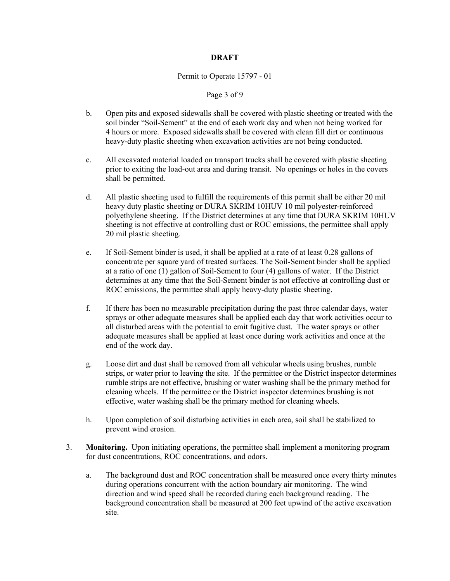#### Permit to Operate 15797 - 01

# Page 3 of 9

- b. Open pits and exposed sidewalls shall be covered with plastic sheeting or treated with the soil binder "Soil-Sement" at the end of each work day and when not being worked for 4 hours or more. Exposed sidewalls shall be covered with clean fill dirt or continuous heavy-duty plastic sheeting when excavation activities are not being conducted.
- c. All excavated material loaded on transport trucks shall be covered with plastic sheeting prior to exiting the load-out area and during transit. No openings or holes in the covers shall be permitted.
- d. All plastic sheeting used to fulfill the requirements of this permit shall be either 20 mil heavy duty plastic sheeting or DURA SKRIM 10HUV 10 mil polyester-reinforced polyethylene sheeting. If the District determines at any time that DURA SKRIM 10HUV sheeting is not effective at controlling dust or ROC emissions, the permittee shall apply 20 mil plastic sheeting.
- e. If Soil-Sement binder is used, it shall be applied at a rate of at least 0.28 gallons of concentrate per square yard of treated surfaces. The Soil-Sement binder shall be applied at a ratio of one (1) gallon of Soil-Sement to four (4) gallons of water. If the District determines at any time that the Soil-Sement binder is not effective at controlling dust or ROC emissions, the permittee shall apply heavy-duty plastic sheeting.
- f. If there has been no measurable precipitation during the past three calendar days, water sprays or other adequate measures shall be applied each day that work activities occur to all disturbed areas with the potential to emit fugitive dust. The water sprays or other adequate measures shall be applied at least once during work activities and once at the end of the work day.
- g. Loose dirt and dust shall be removed from all vehicular wheels using brushes, rumble strips, or water prior to leaving the site. If the permittee or the District inspector determines rumble strips are not effective, brushing or water washing shall be the primary method for cleaning wheels. If the permittee or the District inspector determines brushing is not effective, water washing shall be the primary method for cleaning wheels.
- h. Upon completion of soil disturbing activities in each area, soil shall be stabilized to prevent wind erosion.
- 3. **Monitoring.** Upon initiating operations, the permittee shall implement a monitoring program for dust concentrations, ROC concentrations, and odors.
	- a. The background dust and ROC concentration shall be measured once every thirty minutes during operations concurrent with the action boundary air monitoring. The wind direction and wind speed shall be recorded during each background reading. The background concentration shall be measured at 200 feet upwind of the active excavation site.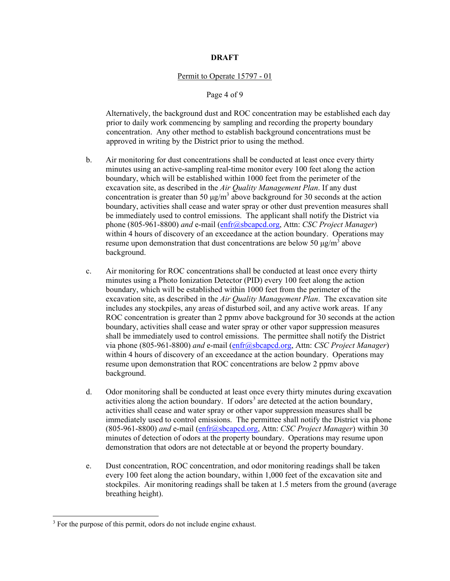#### Permit to Operate 15797 - 01

## Page 4 of 9

Alternatively, the background dust and ROC concentration may be established each day prior to daily work commencing by sampling and recording the property boundary concentration. Any other method to establish background concentrations must be approved in writing by the District prior to using the method.

- b. Air monitoring for dust concentrations shall be conducted at least once every thirty minutes using an active-sampling real-time monitor every 100 feet along the action boundary, which will be established within 1000 feet from the perimeter of the excavation site, as described in the *Air Quality Management Plan*. If any dust concentration is greater than 50  $\mu$ g/m<sup>3</sup> above background for 30 seconds at the action boundary, activities shall cease and water spray or other dust prevention measures shall be immediately used to control emissions. The applicant shall notify the District via phone (805-961-8800) *and* e-mail [\(enfr@sbcapcd.org,](mailto:enfr@sbcapcd.org) Attn: *CSC Project Manager*) within 4 hours of discovery of an exceedance at the action boundary. Operations may resume upon demonstration that dust concentrations are below 50  $\mu$ g/m<sup>3</sup> above background.
- c. Air monitoring for ROC concentrations shall be conducted at least once every thirty minutes using a Photo Ionization Detector (PID) every 100 feet along the action boundary, which will be established within 1000 feet from the perimeter of the excavation site, as described in the *Air Quality Management Plan*. The excavation site includes any stockpiles, any areas of disturbed soil, and any active work areas. If any ROC concentration is greater than 2 ppmv above background for 30 seconds at the action boundary, activities shall cease and water spray or other vapor suppression measures shall be immediately used to control emissions. The permittee shall notify the District via phone (805-961-8800) *and* e-mail [\(enfr@sbcapcd.org,](mailto:enfr@sbcapcd.org) Attn: *CSC Project Manager*) within 4 hours of discovery of an exceedance at the action boundary. Operations may resume upon demonstration that ROC concentrations are below 2 ppmv above background.
- d. Odor monitoring shall be conducted at least once every thirty minutes during excavation activities along the action boundary. If odors<sup>[3](#page-3-0)</sup> are detected at the action boundary, activities shall cease and water spray or other vapor suppression measures shall be immediately used to control emissions. The permittee shall notify the District via phone (805-961-8800) *and* e-mail [\(enfr@sbcapcd.org,](mailto:enfr@sbcapcd.org) Attn: *CSC Project Manager*) within 30 minutes of detection of odors at the property boundary. Operations may resume upon demonstration that odors are not detectable at or beyond the property boundary.
- e. Dust concentration, ROC concentration, and odor monitoring readings shall be taken every 100 feet along the action boundary, within 1,000 feet of the excavation site and stockpiles. Air monitoring readings shall be taken at 1.5 meters from the ground (average breathing height).

<span id="page-3-0"></span><sup>&</sup>lt;sup>3</sup> For the purpose of this permit, odors do not include engine exhaust.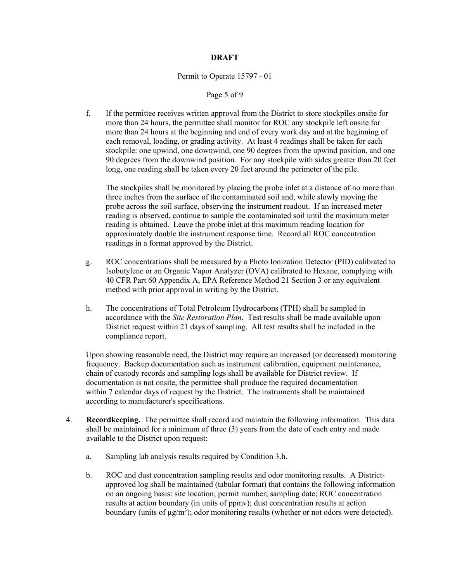#### Permit to Operate 15797 - 01

### Page 5 of 9

f. If the permittee receives written approval from the District to store stockpiles onsite for more than 24 hours, the permittee shall monitor for ROC any stockpile left onsite for more than 24 hours at the beginning and end of every work day and at the beginning of each removal, loading, or grading activity. At least 4 readings shall be taken for each stockpile: one upwind, one downwind, one 90 degrees from the upwind position, and one 90 degrees from the downwind position. For any stockpile with sides greater than 20 feet long, one reading shall be taken every 20 feet around the perimeter of the pile.

The stockpiles shall be monitored by placing the probe inlet at a distance of no more than three inches from the surface of the contaminated soil and, while slowly moving the probe across the soil surface, observing the instrument readout. If an increased meter reading is observed, continue to sample the contaminated soil until the maximum meter reading is obtained. Leave the probe inlet at this maximum reading location for approximately double the instrument response time. Record all ROC concentration readings in a format approved by the District.

- g. ROC concentrations shall be measured by a Photo Ionization Detector (PID) calibrated to Isobutylene or an Organic Vapor Analyzer (OVA) calibrated to Hexane, complying with 40 CFR Part 60 Appendix A, EPA Reference Method 21 Section 3 or any equivalent method with prior approval in writing by the District.
- h. The concentrations of Total Petroleum Hydrocarbons (TPH) shall be sampled in accordance with the *Site Restoration Plan*. Test results shall be made available upon District request within 21 days of sampling. All test results shall be included in the compliance report.

Upon showing reasonable need, the District may require an increased (or decreased) monitoring frequency. Backup documentation such as instrument calibration, equipment maintenance, chain of custody records and sampling logs shall be available for District review. If documentation is not onsite, the permittee shall produce the required documentation within 7 calendar days of request by the District. The instruments shall be maintained according to manufacturer's specifications.

- 4. **Recordkeeping.** The permittee shall record and maintain the following information. This data shall be maintained for a minimum of three (3) years from the date of each entry and made available to the District upon request:
	- a. Sampling lab analysis results required by Condition 3.h.
	- b. ROC and dust concentration sampling results and odor monitoring results. A Districtapproved log shall be maintained (tabular format) that contains the following information on an ongoing basis: site location; permit number; sampling date; ROC concentration results at action boundary (in units of ppmv); dust concentration results at action boundary (units of  $\mu$ g/m<sup>3</sup>); odor monitoring results (whether or not odors were detected).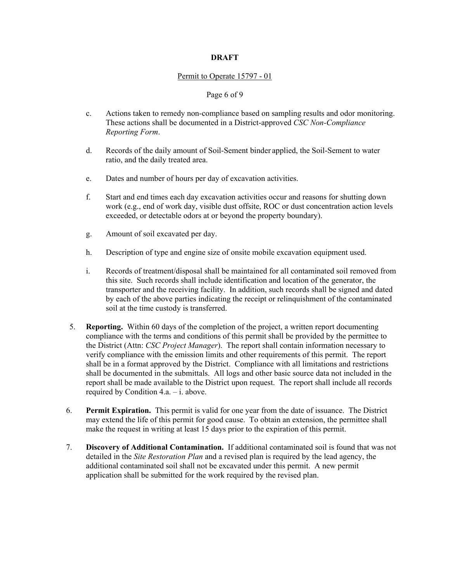## Permit to Operate 15797 - 01

# Page 6 of 9

- c. Actions taken to remedy non-compliance based on sampling results and odor monitoring. These actions shall be documented in a District-approved *CSC Non-Compliance Reporting Form*.
- d. Records of the daily amount of Soil-Sement binder applied, the Soil-Sement to water ratio, and the daily treated area.
- e. Dates and number of hours per day of excavation activities.
- f. Start and end times each day excavation activities occur and reasons for shutting down work (e.g., end of work day, visible dust offsite, ROC or dust concentration action levels exceeded, or detectable odors at or beyond the property boundary).
- g. Amount of soil excavated per day.
- h. Description of type and engine size of onsite mobile excavation equipment used.
- i. Records of treatment/disposal shall be maintained for all contaminated soil removed from this site. Such records shall include identification and location of the generator, the transporter and the receiving facility. In addition, such records shall be signed and dated by each of the above parties indicating the receipt or relinquishment of the contaminated soil at the time custody is transferred.
- 5. **Reporting.** Within 60 days of the completion of the project, a written report documenting compliance with the terms and conditions of this permit shall be provided by the permittee to the District (Attn: *CSC Project Manager*). The report shall contain information necessary to verify compliance with the emission limits and other requirements of this permit. The report shall be in a format approved by the District. Compliance with all limitations and restrictions shall be documented in the submittals. All logs and other basic source data not included in the report shall be made available to the District upon request. The report shall include all records required by Condition 4.a. – i. above.
- 6. **Permit Expiration.** This permit is valid for one year from the date of issuance. The District may extend the life of this permit for good cause. To obtain an extension, the permittee shall make the request in writing at least 15 days prior to the expiration of this permit.
- 7. **Discovery of Additional Contamination.** If additional contaminated soil is found that was not detailed in the *Site Restoration Plan* and a revised plan is required by the lead agency, the additional contaminated soil shall not be excavated under this permit. A new permit application shall be submitted for the work required by the revised plan.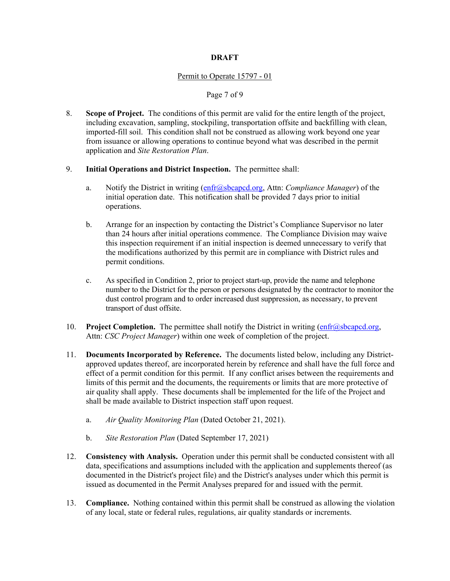## Permit to Operate 15797 - 01

# Page 7 of 9

- 8. **Scope of Project.** The conditions of this permit are valid for the entire length of the project, including excavation, sampling, stockpiling, transportation offsite and backfilling with clean, imported-fill soil. This condition shall not be construed as allowing work beyond one year from issuance or allowing operations to continue beyond what was described in the permit application and *Site Restoration Plan*.
- 9. **Initial Operations and District Inspection.** The permittee shall:
	- a. Notify the District in writing [\(enfr@sbcapcd.org,](mailto:enfr@sbcapcd.org) Attn: *Compliance Manager*) of the initial operation date. This notification shall be provided 7 days prior to initial operations.
	- b. Arrange for an inspection by contacting the District's Compliance Supervisor no later than 24 hours after initial operations commence. The Compliance Division may waive this inspection requirement if an initial inspection is deemed unnecessary to verify that the modifications authorized by this permit are in compliance with District rules and permit conditions.
	- c. As specified in Condition 2, prior to project start-up, provide the name and telephone number to the District for the person or persons designated by the contractor to monitor the dust control program and to order increased dust suppression, as necessary, to prevent transport of dust offsite.
- 10. **Project Completion.** The permittee shall notify the District in writing [\(enfr@sbcapcd.org,](mailto:enfr@sbcapcd.org) Attn: *CSC Project Manager*) within one week of completion of the project.
- 11. **Documents Incorporated by Reference.** The documents listed below, including any Districtapproved updates thereof, are incorporated herein by reference and shall have the full force and effect of a permit condition for this permit. If any conflict arises between the requirements and limits of this permit and the documents, the requirements or limits that are more protective of air quality shall apply. These documents shall be implemented for the life of the Project and shall be made available to District inspection staff upon request.
	- a. *Air Quality Monitoring Plan* (Dated October 21, 2021).
	- b. *Site Restoration Plan* (Dated September 17, 2021)
- 12. **Consistency with Analysis.** Operation under this permit shall be conducted consistent with all data, specifications and assumptions included with the application and supplements thereof (as documented in the District's project file) and the District's analyses under which this permit is issued as documented in the Permit Analyses prepared for and issued with the permit.
- 13. **Compliance.** Nothing contained within this permit shall be construed as allowing the violation of any local, state or federal rules, regulations, air quality standards or increments.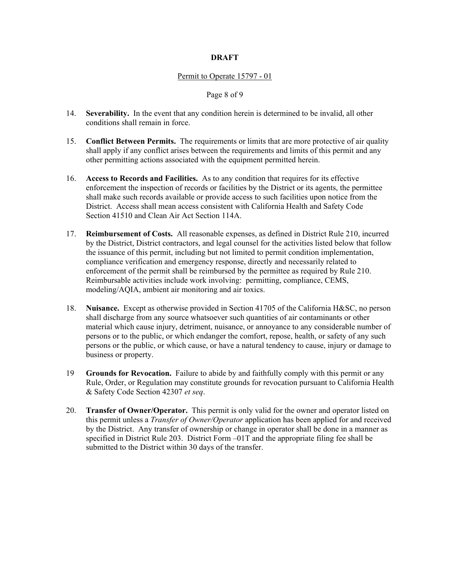#### Permit to Operate 15797 - 01

#### Page 8 of 9

- 14. **Severability.** In the event that any condition herein is determined to be invalid, all other conditions shall remain in force.
- 15. **Conflict Between Permits.** The requirements or limits that are more protective of air quality shall apply if any conflict arises between the requirements and limits of this permit and any other permitting actions associated with the equipment permitted herein.
- 16. **Access to Records and Facilities.** As to any condition that requires for its effective enforcement the inspection of records or facilities by the District or its agents, the permittee shall make such records available or provide access to such facilities upon notice from the District. Access shall mean access consistent with California Health and Safety Code Section 41510 and Clean Air Act Section 114A.
- 17. **Reimbursement of Costs.** All reasonable expenses, as defined in District Rule 210, incurred by the District, District contractors, and legal counsel for the activities listed below that follow the issuance of this permit, including but not limited to permit condition implementation, compliance verification and emergency response, directly and necessarily related to enforcement of the permit shall be reimbursed by the permittee as required by Rule 210. Reimbursable activities include work involving: permitting, compliance, CEMS, modeling/AQIA, ambient air monitoring and air toxics.
- 18. **Nuisance.** Except as otherwise provided in Section 41705 of the California H&SC, no person shall discharge from any source whatsoever such quantities of air contaminants or other material which cause injury, detriment, nuisance, or annoyance to any considerable number of persons or to the public, or which endanger the comfort, repose, health, or safety of any such persons or the public, or which cause, or have a natural tendency to cause, injury or damage to business or property.
- 19 **Grounds for Revocation.** Failure to abide by and faithfully comply with this permit or any Rule, Order, or Regulation may constitute grounds for revocation pursuant to California Health & Safety Code Section 42307 *et seq*.
- 20. **Transfer of Owner/Operator.** This permit is only valid for the owner and operator listed on this permit unless a *Transfer of Owner/Operator* application has been applied for and received by the District. Any transfer of ownership or change in operator shall be done in a manner as specified in District Rule 203. District Form –01T and the appropriate filing fee shall be submitted to the District within 30 days of the transfer.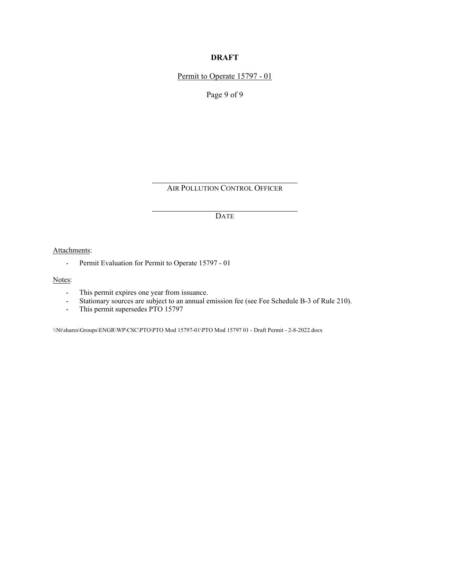Permit to Operate 15797 - 01

Page 9 of 9

AIR POLLUTION CONTROL OFFICER

DATE

Attachments:

- Permit Evaluation for Permit to Operate 15797 - 01

Notes:

- This permit expires one year from issuance.
- Stationary sources are subject to an annual emission fee (see Fee Schedule B-3 of Rule 210).
- This permit supersedes PTO 15797

\\Nt\shares\Groups\ENGR\WP\CSC\PTO\PTO Mod 15797-01\PTO Mod 15797 01 - Draft Permit - 2-8-2022.docx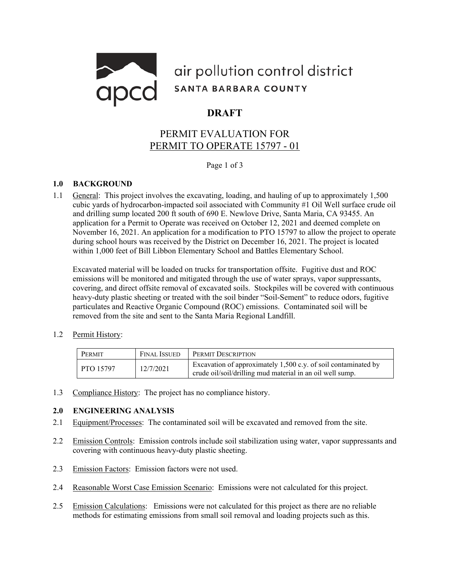

# PERMIT EVALUATION FOR PERMIT TO OPERATE 15797 - 01

Page 1 of 3

# **1.0 BACKGROUND**

1.1 General: This project involves the excavating, loading, and hauling of up to approximately 1,500 cubic yards of hydrocarbon-impacted soil associated with Community #1 Oil Well surface crude oil and drilling sump located 200 ft south of 690 E. Newlove Drive, Santa Maria, CA 93455. An application for a Permit to Operate was received on October 12, 2021 and deemed complete on November 16, 2021. An application for a modification to PTO 15797 to allow the project to operate during school hours was received by the District on December 16, 2021. The project is located within 1,000 feet of Bill Libbon Elementary School and Battles Elementary School.

Excavated material will be loaded on trucks for transportation offsite. Fugitive dust and ROC emissions will be monitored and mitigated through the use of water sprays, vapor suppressants, covering, and direct offsite removal of excavated soils. Stockpiles will be covered with continuous heavy-duty plastic sheeting or treated with the soil binder "Soil-Sement" to reduce odors, fugitive particulates and Reactive Organic Compound (ROC) emissions. Contaminated soil will be removed from the site and sent to the Santa Maria Regional Landfill.

1.2 Permit History:

| PERMIT           | <b>FINAL ISSUED</b> | <b>PERMIT DESCRIPTION</b>                                                                                                   |
|------------------|---------------------|-----------------------------------------------------------------------------------------------------------------------------|
| <b>PTO 15797</b> | 12/7/2021           | Excavation of approximately 1,500 c.y. of soil contaminated by<br>crude oil/soil/drilling mud material in an oil well sump. |

1.3 Compliance History: The project has no compliance history.

# **2.0 ENGINEERING ANALYSIS**

- 2.1 Equipment/Processes: The contaminated soil will be excavated and removed from the site.
- 2.2 Emission Controls: Emission controls include soil stabilization using water, vapor suppressants and covering with continuous heavy-duty plastic sheeting.
- 2.3 Emission Factors: Emission factors were not used.
- 2.4 Reasonable Worst Case Emission Scenario: Emissions were not calculated for this project.
- 2.5 Emission Calculations: Emissions were not calculated for this project as there are no reliable methods for estimating emissions from small soil removal and loading projects such as this.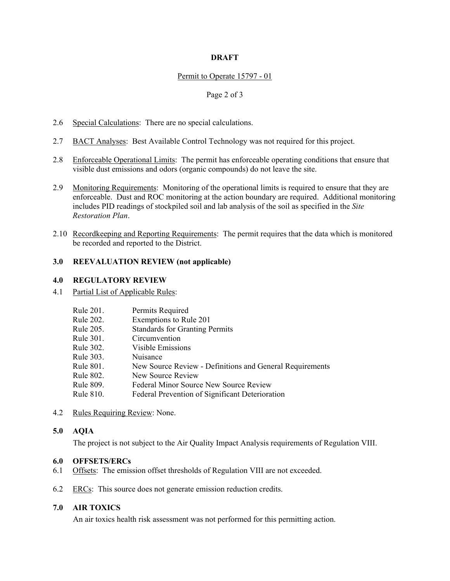#### Permit to Operate 15797 - 01

#### Page 2 of 3

- 2.6 Special Calculations: There are no special calculations.
- 2.7 BACT Analyses: Best Available Control Technology was not required for this project.
- 2.8 Enforceable Operational Limits: The permit has enforceable operating conditions that ensure that visible dust emissions and odors (organic compounds) do not leave the site.
- 2.9 Monitoring Requirements: Monitoring of the operational limits is required to ensure that they are enforceable. Dust and ROC monitoring at the action boundary are required. Additional monitoring includes PID readings of stockpiled soil and lab analysis of the soil as specified in the *Site Restoration Plan*.
- 2.10 Recordkeeping and Reporting Requirements: The permit requires that the data which is monitored be recorded and reported to the District.

# **3.0 REEVALUATION REVIEW (not applicable)**

#### **4.0 REGULATORY REVIEW**

4.1 Partial List of Applicable Rules:

| Rule 201. | Permits Required                                         |  |
|-----------|----------------------------------------------------------|--|
| Rule 202. | Exemptions to Rule 201                                   |  |
| Rule 205. | <b>Standards for Granting Permits</b>                    |  |
| Rule 301. | Circumvention                                            |  |
| Rule 302. | Visible Emissions                                        |  |
| Rule 303. | Nuisance                                                 |  |
| Rule 801. | New Source Review - Definitions and General Requirements |  |
| Rule 802. | New Source Review                                        |  |
| Rule 809. | Federal Minor Source New Source Review                   |  |
| Rule 810. | Federal Prevention of Significant Deterioration          |  |
|           |                                                          |  |

4.2 Rules Requiring Review: None.

#### **5.0 AQIA**

The project is not subject to the Air Quality Impact Analysis requirements of Regulation VIII.

#### **6.0 OFFSETS/ERCs**

- 6.1 Offsets: The emission offset thresholds of Regulation VIII are not exceeded.
- 6.2 ERCs: This source does not generate emission reduction credits.

# **7.0 AIR TOXICS**

An air toxics health risk assessment was not performed for this permitting action.